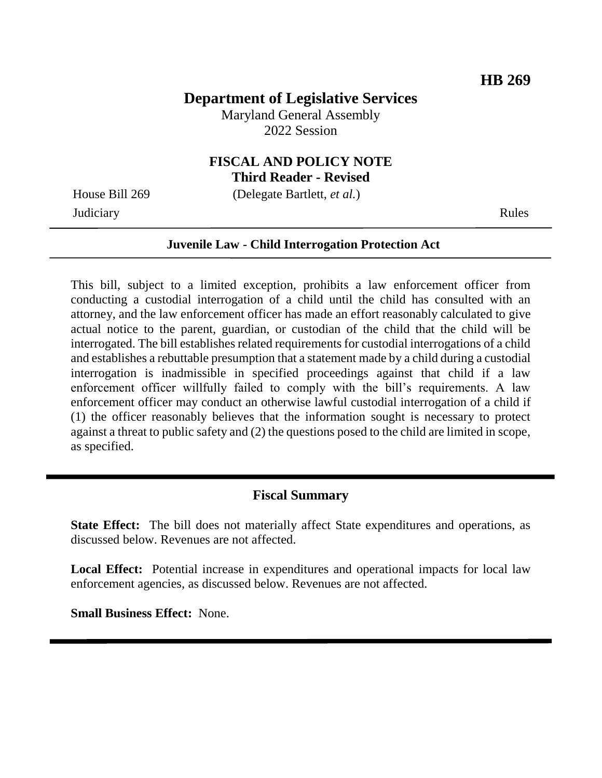# **Department of Legislative Services**

Maryland General Assembly 2022 Session

# **FISCAL AND POLICY NOTE**

**Third Reader - Revised**

**Judiciary** Rules

House Bill 269 (Delegate Bartlett, *et al.*)

#### **Juvenile Law - Child Interrogation Protection Act**

This bill, subject to a limited exception, prohibits a law enforcement officer from conducting a custodial interrogation of a child until the child has consulted with an attorney, and the law enforcement officer has made an effort reasonably calculated to give actual notice to the parent, guardian, or custodian of the child that the child will be interrogated. The bill establishes related requirements for custodial interrogations of a child and establishes a rebuttable presumption that a statement made by a child during a custodial interrogation is inadmissible in specified proceedings against that child if a law enforcement officer willfully failed to comply with the bill's requirements. A law enforcement officer may conduct an otherwise lawful custodial interrogation of a child if (1) the officer reasonably believes that the information sought is necessary to protect against a threat to public safety and (2) the questions posed to the child are limited in scope, as specified.

#### **Fiscal Summary**

**State Effect:** The bill does not materially affect State expenditures and operations, as discussed below. Revenues are not affected.

**Local Effect:** Potential increase in expenditures and operational impacts for local law enforcement agencies, as discussed below. Revenues are not affected.

**Small Business Effect:** None.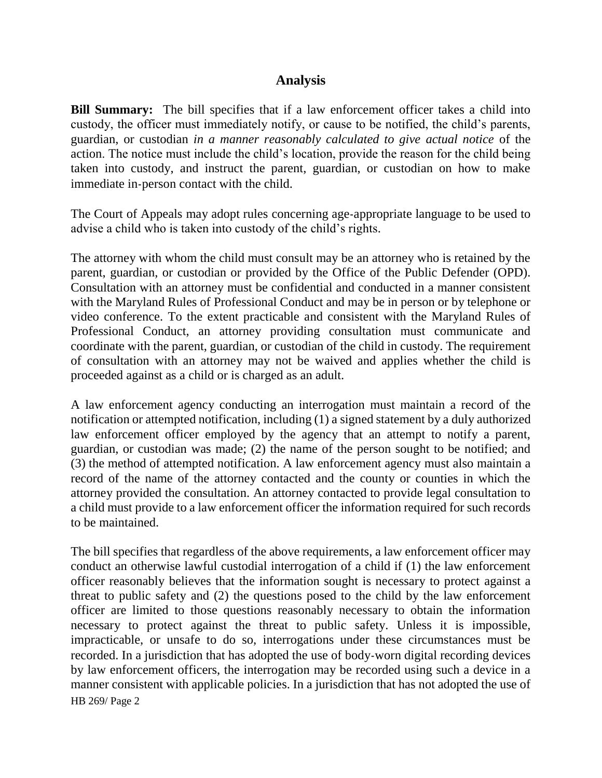## **Analysis**

**Bill Summary:** The bill specifies that if a law enforcement officer takes a child into custody, the officer must immediately notify, or cause to be notified, the child's parents, guardian, or custodian *in a manner reasonably calculated to give actual notice* of the action. The notice must include the child's location, provide the reason for the child being taken into custody, and instruct the parent, guardian, or custodian on how to make immediate in-person contact with the child.

The Court of Appeals may adopt rules concerning age-appropriate language to be used to advise a child who is taken into custody of the child's rights.

The attorney with whom the child must consult may be an attorney who is retained by the parent, guardian, or custodian or provided by the Office of the Public Defender (OPD). Consultation with an attorney must be confidential and conducted in a manner consistent with the Maryland Rules of Professional Conduct and may be in person or by telephone or video conference. To the extent practicable and consistent with the Maryland Rules of Professional Conduct, an attorney providing consultation must communicate and coordinate with the parent, guardian, or custodian of the child in custody. The requirement of consultation with an attorney may not be waived and applies whether the child is proceeded against as a child or is charged as an adult.

A law enforcement agency conducting an interrogation must maintain a record of the notification or attempted notification, including (1) a signed statement by a duly authorized law enforcement officer employed by the agency that an attempt to notify a parent, guardian, or custodian was made; (2) the name of the person sought to be notified; and (3) the method of attempted notification. A law enforcement agency must also maintain a record of the name of the attorney contacted and the county or counties in which the attorney provided the consultation. An attorney contacted to provide legal consultation to a child must provide to a law enforcement officer the information required for such records to be maintained.

HB 269/ Page 2 The bill specifies that regardless of the above requirements, a law enforcement officer may conduct an otherwise lawful custodial interrogation of a child if (1) the law enforcement officer reasonably believes that the information sought is necessary to protect against a threat to public safety and (2) the questions posed to the child by the law enforcement officer are limited to those questions reasonably necessary to obtain the information necessary to protect against the threat to public safety. Unless it is impossible, impracticable, or unsafe to do so, interrogations under these circumstances must be recorded. In a jurisdiction that has adopted the use of body-worn digital recording devices by law enforcement officers, the interrogation may be recorded using such a device in a manner consistent with applicable policies. In a jurisdiction that has not adopted the use of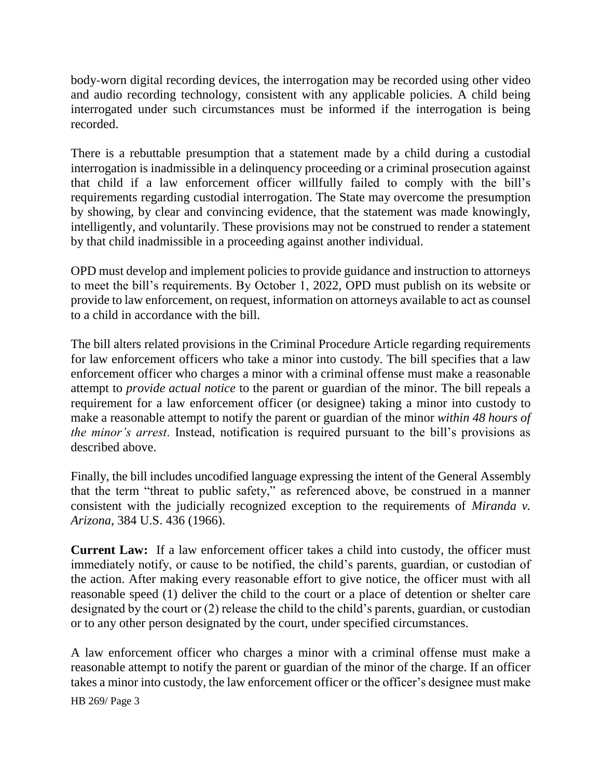body-worn digital recording devices, the interrogation may be recorded using other video and audio recording technology, consistent with any applicable policies. A child being interrogated under such circumstances must be informed if the interrogation is being recorded.

There is a rebuttable presumption that a statement made by a child during a custodial interrogation is inadmissible in a delinquency proceeding or a criminal prosecution against that child if a law enforcement officer willfully failed to comply with the bill's requirements regarding custodial interrogation. The State may overcome the presumption by showing, by clear and convincing evidence, that the statement was made knowingly, intelligently, and voluntarily. These provisions may not be construed to render a statement by that child inadmissible in a proceeding against another individual.

OPD must develop and implement policies to provide guidance and instruction to attorneys to meet the bill's requirements. By October 1, 2022, OPD must publish on its website or provide to law enforcement, on request, information on attorneys available to act as counsel to a child in accordance with the bill.

The bill alters related provisions in the Criminal Procedure Article regarding requirements for law enforcement officers who take a minor into custody. The bill specifies that a law enforcement officer who charges a minor with a criminal offense must make a reasonable attempt to *provide actual notice* to the parent or guardian of the minor. The bill repeals a requirement for a law enforcement officer (or designee) taking a minor into custody to make a reasonable attempt to notify the parent or guardian of the minor *within 48 hours of the minor's arrest*. Instead, notification is required pursuant to the bill's provisions as described above.

Finally, the bill includes uncodified language expressing the intent of the General Assembly that the term "threat to public safety," as referenced above, be construed in a manner consistent with the judicially recognized exception to the requirements of *Miranda v. Arizona*, 384 U.S. 436 (1966).

**Current Law:** If a law enforcement officer takes a child into custody, the officer must immediately notify, or cause to be notified, the child's parents, guardian, or custodian of the action. After making every reasonable effort to give notice, the officer must with all reasonable speed (1) deliver the child to the court or a place of detention or shelter care designated by the court or (2) release the child to the child's parents, guardian, or custodian or to any other person designated by the court, under specified circumstances.

A law enforcement officer who charges a minor with a criminal offense must make a reasonable attempt to notify the parent or guardian of the minor of the charge. If an officer takes a minor into custody, the law enforcement officer or the officer's designee must make